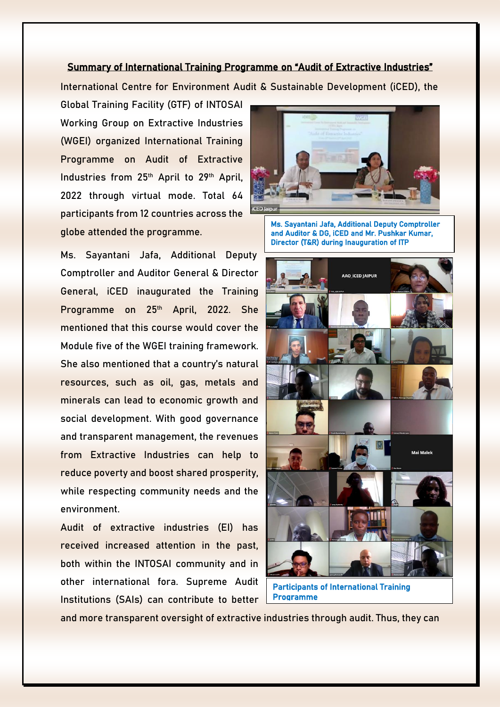### Summary of International Training Programme on "Audit of Extractive Industries"

International Centre for Environment Audit & Sustainable Development (iCED), the

Global Training Facility (GTF) of INTOSAI Working Group on Extractive Industries (WGEI) organized International Training Programme on Audit of Extractive Industries from 25<sup>th</sup> April to 29<sup>th</sup> April, 2022 through virtual mode. Total 64 participants from 12 countries across the globe attended the programme.

Ms. Sayantani Jafa, Additional Deputy Comptroller and Auditor General & Director General, iCED inaugurated the Training Programme on 25<sup>th</sup> April, 2022. She mentioned that this course would cover the Module five of the WGEI training framework. She also mentioned that a country's natural resources, such as oil, gas, metals and minerals can lead to economic growth and social development. With good governance and transparent management, the revenues from Extractive Industries can help to reduce poverty and boost shared prosperity, while respecting community needs and the environment.

Audit of extractive industries (EI) has received increased attention in the past, both within the INTOSAI community and in other international fora. Supreme Audit Institutions (SAIs) can contribute to better



Ms. Sayantani Jafa, Additional Deputy Comptroller and Auditor & DG, iCED and Mr. Pushkar Kumar, Director (T&R) during Inauguration of ITP



Participants of International Training Programme

and more transparent oversight of extractive industries through audit. Thus, they can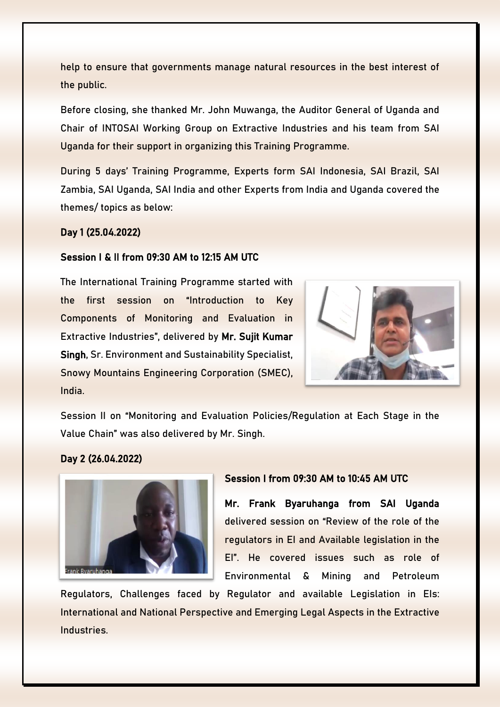help to ensure that governments manage natural resources in the best interest of the public.

Before closing, she thanked Mr. John Muwanga, the Auditor General of Uganda and Chair of INTOSAI Working Group on Extractive Industries and his team from SAI Uganda for their support in organizing this Training Programme.

During 5 days' Training Programme, Experts form SAI Indonesia, SAI Brazil, SAI Zambia, SAI Uganda, SAI India and other Experts from India and Uganda covered the themes/ topics as below:

## Day 1 (25.04.2022)

## Session I & II from 09:30 AM to 12:15 AM UTC

The International Training Programme started with the first session on "Introduction to Key Components of Monitoring and Evaluation in Extractive Industries", delivered by Mr. Sujit Kumar Singh, Sr. Environment and Sustainability Specialist, Snowy Mountains Engineering Corporation (SMEC), India.



Session II on "Monitoring and Evaluation Policies/Regulation at Each Stage in the Value Chain" was also delivered by Mr. Singh.

# Day 2 (26.04.2022)



# Session I from 09:30 AM to 10:45 AM UTC

Mr. Frank Byaruhanga from SAI Uganda delivered session on "Review of the role of the regulators in EI and Available legislation in the EI". He covered issues such as role of Environmental & Mining and Petroleum

Regulators, Challenges faced by Regulator and available Legislation in EIs: International and National Perspective and Emerging Legal Aspects in the Extractive Industries.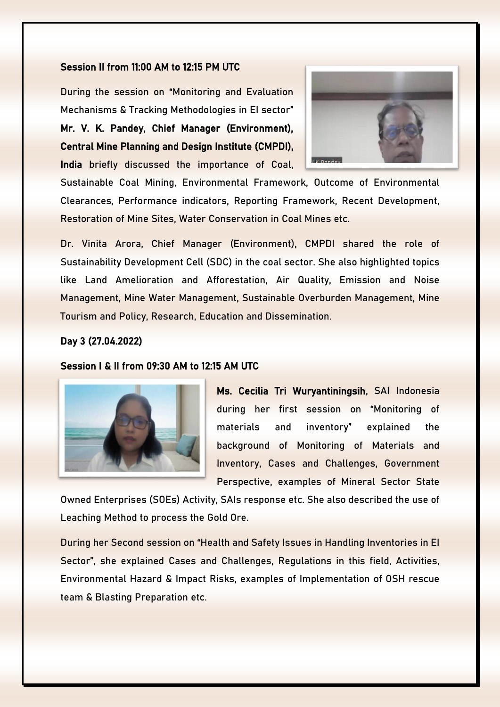#### Session II from 11:00 AM to 12:15 PM UTC

During the session on "Monitoring and Evaluation Mechanisms & Tracking Methodologies in EI sector" Mr. V. K. Pandey, Chief Manager (Environment), Central Mine Planning and Design Institute (CMPDI),

India briefly discussed the importance of Coal,



Sustainable Coal Mining, Environmental Framework, Outcome of Environmental Clearances, Performance indicators, Reporting Framework, Recent Development, Restoration of Mine Sites, Water Conservation in Coal Mines etc.

Dr. Vinita Arora, Chief Manager (Environment), CMPDI shared the role of Sustainability Development Cell (SDC) in the coal sector. She also highlighted topics like Land Amelioration and Afforestation, Air Quality, Emission and Noise Management, Mine Water Management, Sustainable Overburden Management, Mine Tourism and Policy, Research, Education and Dissemination.

## Day 3 (27.04.2022)

## Session I & II from 09:30 AM to 12:15 AM UTC



Ms. Cecilia Tri Wuryantiningsih, SAI Indonesia during her first session on "Monitoring of materials and inventory" explained the background of Monitoring of Materials and Inventory, Cases and Challenges, Government Perspective, examples of Mineral Sector State

Owned Enterprises (SOEs) Activity, SAIs response etc. She also described the use of Leaching Method to process the Gold Ore.

During her Second session on "Health and Safety Issues in Handling Inventories in EI Sector", she explained Cases and Challenges, Regulations in this field, Activities, Environmental Hazard & Impact Risks, examples of Implementation of OSH rescue team & Blasting Preparation etc.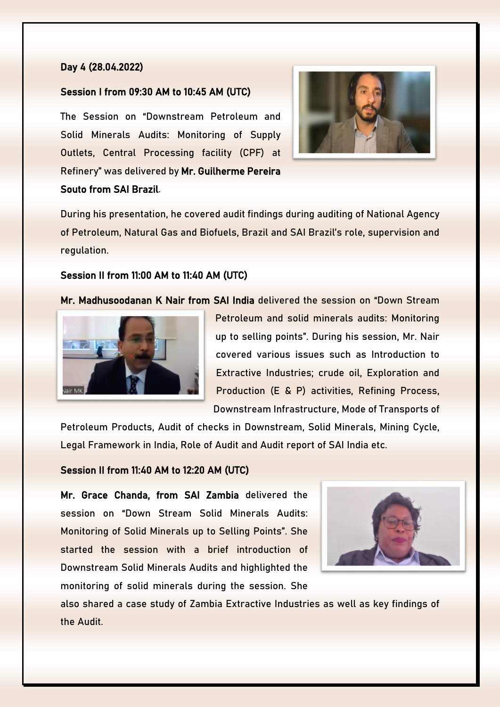## Day 4 (28.04.2022)

## Session I from 09:30 AM to 10:45 AM (UTC)

The Session on "Downstream Petroleum and Solid Minerals Audits: Monitoring of Supply Outlets, Central Processing facility (CPF) at Refinery" was delivered by Mr. Guilherme Pereira Souto from SAI Brazil.



During his presentation, he covered audit findings during auditing of National Agency of Petroleum, Natural Gas and Biofuels, Brazil and SAI Brazil's role, supervision and regulation.

## Session II from 11:00 AM to 11:40 AM (UTC)

Mr. Madhusoodanan K Nair from SAI India delivered the session on "Down Stream



Petroleum and solid minerals audits: Monitoring up to selling points". During his session, Mr. Nair covered various issues such as Introduction to Extractive Industries; crude oil, Exploration and Production (E & P) activities, Refining Process, Downstream Infrastructure, Mode of Transports of

Petroleum Products, Audit of checks in Downstream, Solid Minerals, Mining Cycle, Legal Framework in India, Role of Audit and Audit report of SAI India etc.

#### Session II from 11:40 AM to 12:20 AM (UTC)

Mr. Grace Chanda, from SAI Zambia delivered the session on "Down Stream Solid Minerals Audits: Monitoring of Solid Minerals up to Selling Points". She started the session with a brief introduction of Downstream Solid Minerals Audits and highlighted the monitoring of solid minerals during the session. She



also shared a case study of Zambia Extractive Industries as well as key findings of the Audit.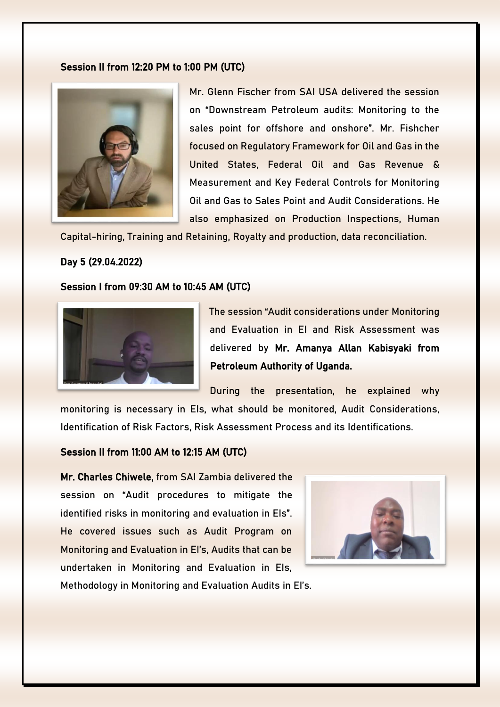#### Session II from 12:20 PM to 1:00 PM (UTC)



Mr. Glenn Fischer from SAI USA delivered the session on "Downstream Petroleum audits: Monitoring to the sales point for offshore and onshore". Mr. Fishcher focused on Regulatory Framework for Oil and Gas in the United States, Federal Oil and Gas Revenue & Measurement and Key Federal Controls for Monitoring Oil and Gas to Sales Point and Audit Considerations. He also emphasized on Production Inspections, Human

Capital-hiring, Training and Retaining, Royalty and production, data reconciliation.

# Day 5 (29.04.2022)

#### Session I from 09:30 AM to 10:45 AM (UTC)



The session "Audit considerations under Monitoring and Evaluation in EI and Risk Assessment was delivered by Mr. Amanya Allan Kabisyaki from Petroleum Authority of Uganda.

During the presentation, he explained why monitoring is necessary in EIs, what should be monitored, Audit Considerations, Identification of Risk Factors, Risk Assessment Process and its Identifications.

#### Session II from 11:00 AM to 12:15 AM (UTC)

Mr. Charles Chiwele, from SAI Zambia delivered the session on "Audit procedures to mitigate the identified risks in monitoring and evaluation in EIs". He covered issues such as Audit Program on Monitoring and Evaluation in EI's, Audits that can be undertaken in Monitoring and Evaluation in EIs,



Methodology in Monitoring and Evaluation Audits in EI's.